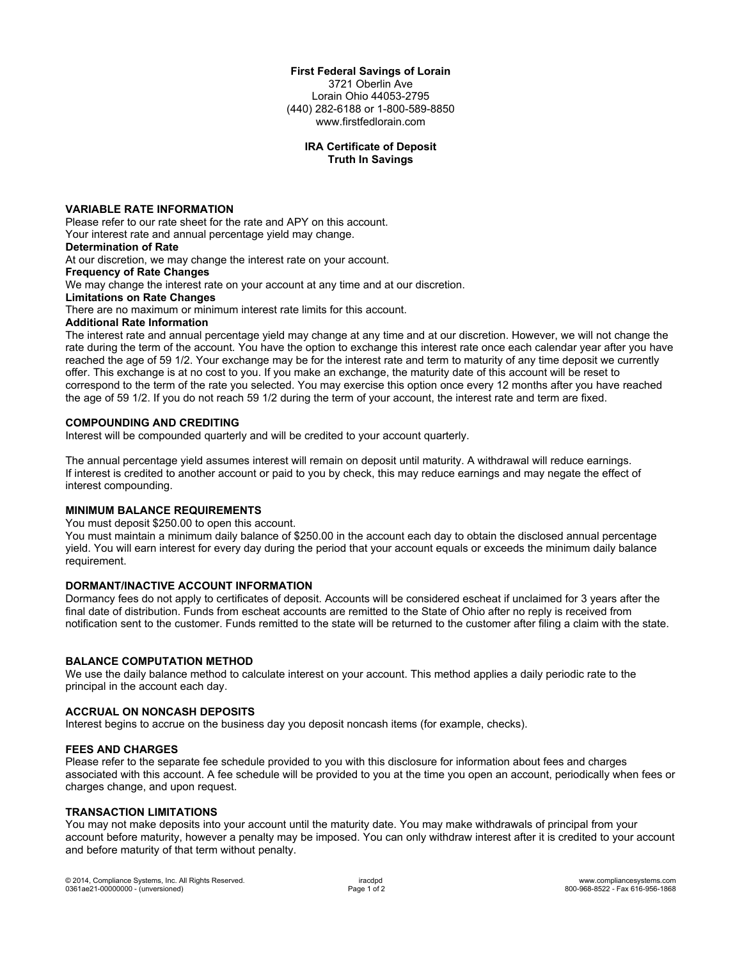#### **First Federal Savings of Lorain**

3721 Oberlin Ave Lorain Ohio 44053-2795 (440) 282-6188 or 1-800-589-8850 www.firstfedlorain.com

# **IRA Certificate of Deposit Truth In Savings**

## **VARIABLE RATE INFORMATION**

Please refer to our rate sheet for the rate and APY on this account. Your interest rate and annual percentage yield may change.

# **Determination of Rate**

At our discretion, we may change the interest rate on your account.

**Frequency of Rate Changes**

We may change the interest rate on your account at any time and at our discretion.

#### **Limitations on Rate Changes**

There are no maximum or minimum interest rate limits for this account.

## **Additional Rate Information**

The interest rate and annual percentage yield may change at any time and at our discretion. However, we will not change the rate during the term of the account. You have the option to exchange this interest rate once each calendar year after you have reached the age of 59 1/2. Your exchange may be for the interest rate and term to maturity of any time deposit we currently offer. This exchange is at no cost to you. If you make an exchange, the maturity date of this account will be reset to correspond to the term of the rate you selected. You may exercise this option once every 12 months after you have reached the age of 59 1/2. If you do not reach 59 1/2 during the term of your account, the interest rate and term are fixed.

#### **COMPOUNDING AND CREDITING**

Interest will be compounded quarterly and will be credited to your account quarterly.

The annual percentage yield assumes interest will remain on deposit until maturity. A withdrawal will reduce earnings. If interest is credited to another account or paid to you by check, this may reduce earnings and may negate the effect of interest compounding.

#### **MINIMUM BALANCE REQUIREMENTS**

You must deposit \$250.00 to open this account.

You must maintain a minimum daily balance of \$250.00 in the account each day to obtain the disclosed annual percentage yield. You will earn interest for every day during the period that your account equals or exceeds the minimum daily balance requirement.

# **DORMANT/INACTIVE ACCOUNT INFORMATION**

Dormancy fees do not apply to certificates of deposit. Accounts will be considered escheat if unclaimed for 3 years after the final date of distribution. Funds from escheat accounts are remitted to the State of Ohio after no reply is received from notification sent to the customer. Funds remitted to the state will be returned to the customer after filing a claim with the state.

## **BALANCE COMPUTATION METHOD**

We use the daily balance method to calculate interest on your account. This method applies a daily periodic rate to the principal in the account each day.

#### **ACCRUAL ON NONCASH DEPOSITS**

Interest begins to accrue on the business day you deposit noncash items (for example, checks).

## **FEES AND CHARGES**

Please refer to the separate fee schedule provided to you with this disclosure for information about fees and charges associated with this account. A fee schedule will be provided to you at the time you open an account, periodically when fees or charges change, and upon request.

## **TRANSACTION LIMITATIONS**

You may not make deposits into your account until the maturity date. You may make withdrawals of principal from your account before maturity, however a penalty may be imposed. You can only withdraw interest after it is credited to your account and before maturity of that term without penalty.